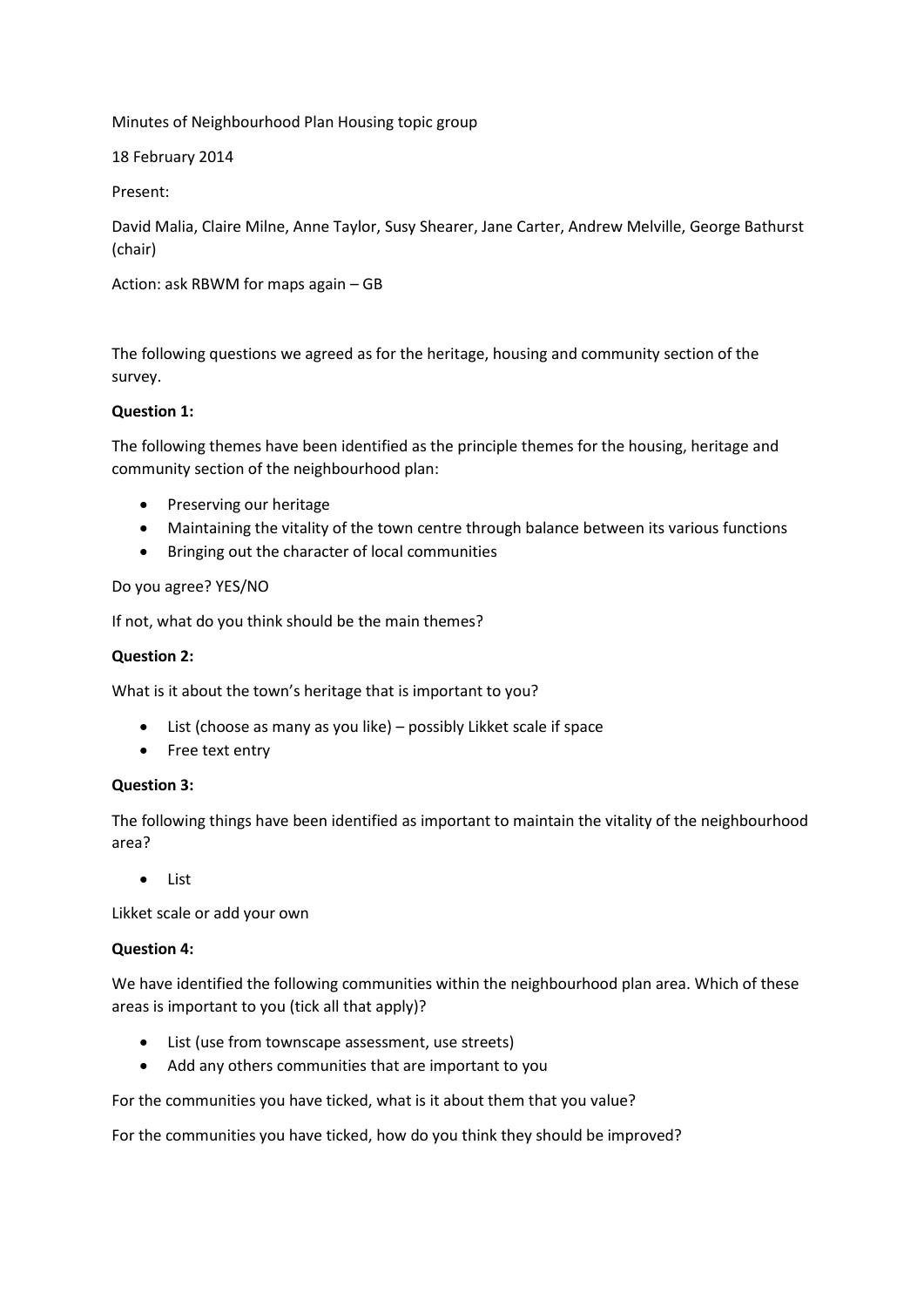Minutes of Neighbourhood Plan Housing topic group

18 February 2014

Present:

David Malia, Claire Milne, Anne Taylor, Susy Shearer, Jane Carter, Andrew Melville, George Bathurst (chair)

Action: ask RBWM for maps again – GB

The following questions we agreed as for the heritage, housing and community section of the survey.

## **Question 1:**

The following themes have been identified as the principle themes for the housing, heritage and community section of the neighbourhood plan:

- Preserving our heritage
- Maintaining the vitality of the town centre through balance between its various functions
- Bringing out the character of local communities

## Do you agree? YES/NO

If not, what do you think should be the main themes?

### **Question 2:**

What is it about the town's heritage that is important to you?

- List (choose as many as you like) possibly Likket scale if space
- Free text entry

#### **Question 3:**

The following things have been identified as important to maintain the vitality of the neighbourhood area?

• List

Likket scale or add your own

#### **Question 4:**

We have identified the following communities within the neighbourhood plan area. Which of these areas is important to you (tick all that apply)?

- List (use from townscape assessment, use streets)
- Add any others communities that are important to you

For the communities you have ticked, what is it about them that you value?

For the communities you have ticked, how do you think they should be improved?